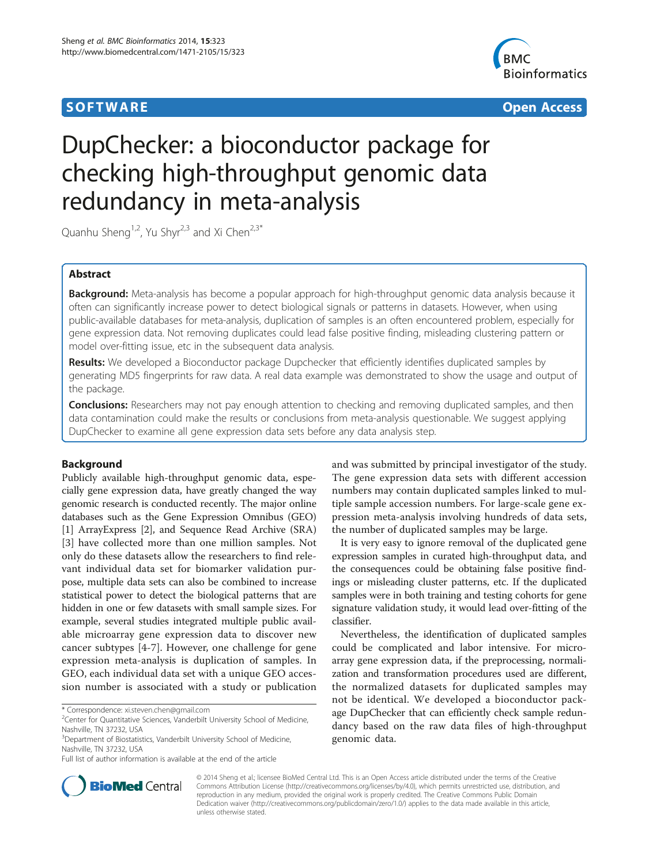## **SOFTWARE SOFTWARE** *CONSERVERSE EXECUTIVE EXECUTIVE EXECUTIVE EXECUTIVE EXECUTIVE EXECUTIVE EXECUTIVE EXECUTIVE EXECUTIVE EXECUTIVE EXECUTIVE EXECUTIVE EXECUTIVE EXECUTIVE EXECUTIVE EXECUTIVE EXECUTIVE EXECUTIVE EXECUT*



# DupChecker: a bioconductor package for checking high-throughput genomic data redundancy in meta-analysis

Quanhu Sheng<sup>1,2</sup>, Yu Shyr<sup>2,3</sup> and Xi Chen<sup>2,3\*</sup>

## Abstract

Background: Meta-analysis has become a popular approach for high-throughput genomic data analysis because it often can significantly increase power to detect biological signals or patterns in datasets. However, when using public-available databases for meta-analysis, duplication of samples is an often encountered problem, especially for gene expression data. Not removing duplicates could lead false positive finding, misleading clustering pattern or model over-fitting issue, etc in the subsequent data analysis.

**Results:** We developed a Bioconductor package Dupchecker that efficiently identifies duplicated samples by generating MD5 fingerprints for raw data. A real data example was demonstrated to show the usage and output of the package.

**Conclusions:** Researchers may not pay enough attention to checking and removing duplicated samples, and then data contamination could make the results or conclusions from meta-analysis questionable. We suggest applying DupChecker to examine all gene expression data sets before any data analysis step.

## **Background**

Publicly available high-throughput genomic data, especially gene expression data, have greatly changed the way genomic research is conducted recently. The major online databases such as the Gene Expression Omnibus (GEO) [[1\]](#page-2-0) ArrayExpress [\[2](#page-2-0)], and Sequence Read Archive (SRA) [[3\]](#page-2-0) have collected more than one million samples. Not only do these datasets allow the researchers to find relevant individual data set for biomarker validation purpose, multiple data sets can also be combined to increase statistical power to detect the biological patterns that are hidden in one or few datasets with small sample sizes. For example, several studies integrated multiple public available microarray gene expression data to discover new cancer subtypes [[4-7\]](#page-2-0). However, one challenge for gene expression meta-analysis is duplication of samples. In GEO, each individual data set with a unique GEO accession number is associated with a study or publication

\* Correspondence: [xi.steven.chen@gmail.com](mailto:xi.steven.chen@gmail.com) <sup>2</sup>

<sup>3</sup>Department of Biostatistics, Vanderbilt University School of Medicine, Nashville, TN 37232, USA

Full list of author information is available at the end of the article

and was submitted by principal investigator of the study. The gene expression data sets with different accession numbers may contain duplicated samples linked to multiple sample accession numbers. For large-scale gene expression meta-analysis involving hundreds of data sets, the number of duplicated samples may be large.

It is very easy to ignore removal of the duplicated gene expression samples in curated high-throughput data, and the consequences could be obtaining false positive findings or misleading cluster patterns, etc. If the duplicated samples were in both training and testing cohorts for gene signature validation study, it would lead over-fitting of the classifier.

Nevertheless, the identification of duplicated samples could be complicated and labor intensive. For microarray gene expression data, if the preprocessing, normalization and transformation procedures used are different, the normalized datasets for duplicated samples may not be identical. We developed a bioconductor package DupChecker that can efficiently check sample redundancy based on the raw data files of high-throughput genomic data.



© 2014 Sheng et al.; licensee BioMed Central Ltd. This is an Open Access article distributed under the terms of the Creative Commons Attribution License [\(http://creativecommons.org/licenses/by/4.0\)](http://creativecommons.org/licenses/by/4.0), which permits unrestricted use, distribution, and reproduction in any medium, provided the original work is properly credited. The Creative Commons Public Domain Dedication waiver [\(http://creativecommons.org/publicdomain/zero/1.0/](http://creativecommons.org/publicdomain/zero/1.0/)) applies to the data made available in this article, unless otherwise stated.

<sup>&</sup>lt;sup>2</sup>Center for Quantitative Sciences, Vanderbilt University School of Medicine, Nashville, TN 37232, USA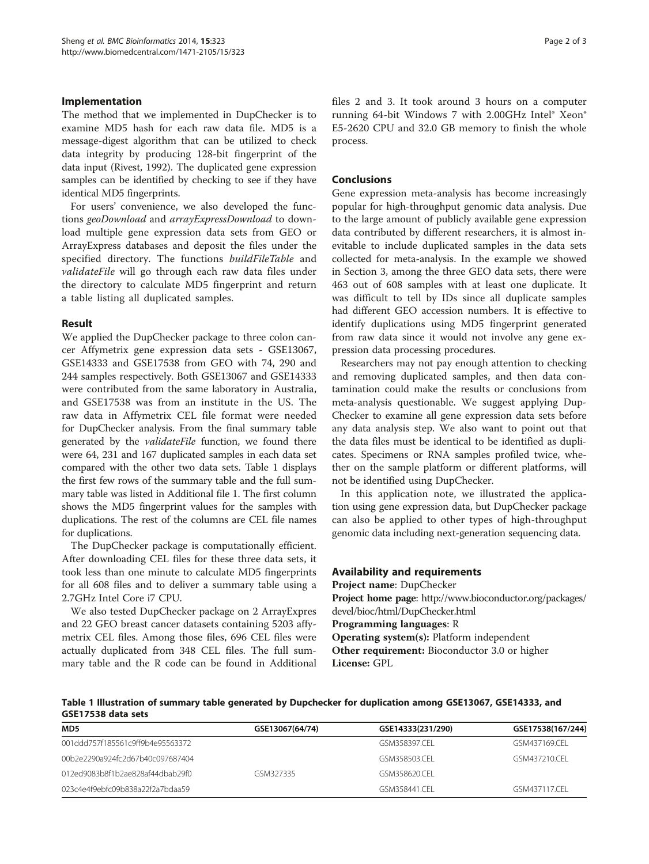## Implementation

The method that we implemented in DupChecker is to examine MD5 hash for each raw data file. MD5 is a message-digest algorithm that can be utilized to check data integrity by producing 128-bit fingerprint of the data input (Rivest, 1992). The duplicated gene expression samples can be identified by checking to see if they have identical MD5 fingerprints.

For users' convenience, we also developed the functions geoDownload and arrayExpressDownload to download multiple gene expression data sets from GEO or ArrayExpress databases and deposit the files under the specified directory. The functions buildFileTable and validateFile will go through each raw data files under the directory to calculate MD5 fingerprint and return a table listing all duplicated samples.

## Result

We applied the DupChecker package to three colon cancer Affymetrix gene expression data sets - GSE13067, GSE14333 and GSE17538 from GEO with 74, 290 and 244 samples respectively. Both GSE13067 and GSE14333 were contributed from the same laboratory in Australia, and GSE17538 was from an institute in the US. The raw data in Affymetrix CEL file format were needed for DupChecker analysis. From the final summary table generated by the *validateFile* function, we found there were 64, 231 and 167 duplicated samples in each data set compared with the other two data sets. Table 1 displays the first few rows of the summary table and the full summary table was listed in Additional file [1](#page-2-0). The first column shows the MD5 fingerprint values for the samples with duplications. The rest of the columns are CEL file names for duplications.

The DupChecker package is computationally efficient. After downloading CEL files for these three data sets, it took less than one minute to calculate MD5 fingerprints for all 608 files and to deliver a summary table using a 2.7GHz Intel Core i7 CPU.

We also tested DupChecker package on 2 ArrayExpres and 22 GEO breast cancer datasets containing 5203 affymetrix CEL files. Among those files, 696 CEL files were actually duplicated from 348 CEL files. The full summary table and the R code can be found in Additional files [2](#page-2-0) and [3](#page-2-0). It took around 3 hours on a computer running 64-bit Windows 7 with 2.00GHz Intel® Xeon® E5-2620 CPU and 32.0 GB memory to finish the whole process.

## Conclusions

Gene expression meta-analysis has become increasingly popular for high-throughput genomic data analysis. Due to the large amount of publicly available gene expression data contributed by different researchers, it is almost inevitable to include duplicated samples in the data sets collected for meta-analysis. In the example we showed in Section 3, among the three GEO data sets, there were 463 out of 608 samples with at least one duplicate. It was difficult to tell by IDs since all duplicate samples had different GEO accession numbers. It is effective to identify duplications using MD5 fingerprint generated from raw data since it would not involve any gene expression data processing procedures.

Researchers may not pay enough attention to checking and removing duplicated samples, and then data contamination could make the results or conclusions from meta-analysis questionable. We suggest applying Dup-Checker to examine all gene expression data sets before any data analysis step. We also want to point out that the data files must be identical to be identified as duplicates. Specimens or RNA samples profiled twice, whether on the sample platform or different platforms, will not be identified using DupChecker.

In this application note, we illustrated the application using gene expression data, but DupChecker package can also be applied to other types of high-throughput genomic data including next-generation sequencing data.

### Availability and requirements

Project name: DupChecker Project home page: [http://www.bioconductor.org/packages/](http://www.bioconductor.org/packages/devel/bioc/html/DupChecker.html) [devel/bioc/html/DupChecker.html](http://www.bioconductor.org/packages/devel/bioc/html/DupChecker.html) Programming languages: R Operating system(s): Platform independent Other requirement: Bioconductor 3.0 or higher License: GPL

Table 1 Illustration of summary table generated by Dupchecker for duplication among GSE13067, GSE14333, and GSE17538 data sets

| MD <sub>5</sub>                  | GSE13067(64/74) | GSE14333(231/290) | GSE17538(167/244) |
|----------------------------------|-----------------|-------------------|-------------------|
| 001ddd757f185561c9ff9b4e95563372 |                 | GSM358397.CFL     | GSM437169.CFL     |
| 00b2e2290a924fc2d67b40c097687404 |                 | GSM358503.CFL     | GSM437210.CFL     |
| 012ed9083b8f1b2ae828af44dbab29f0 | GSM327335       | GSM358620.CFL     |                   |
| 023c4e4f9ebfc09b838a22f2a7bdaa59 |                 | GSM358441.CFL     | GSM437117.CFL     |